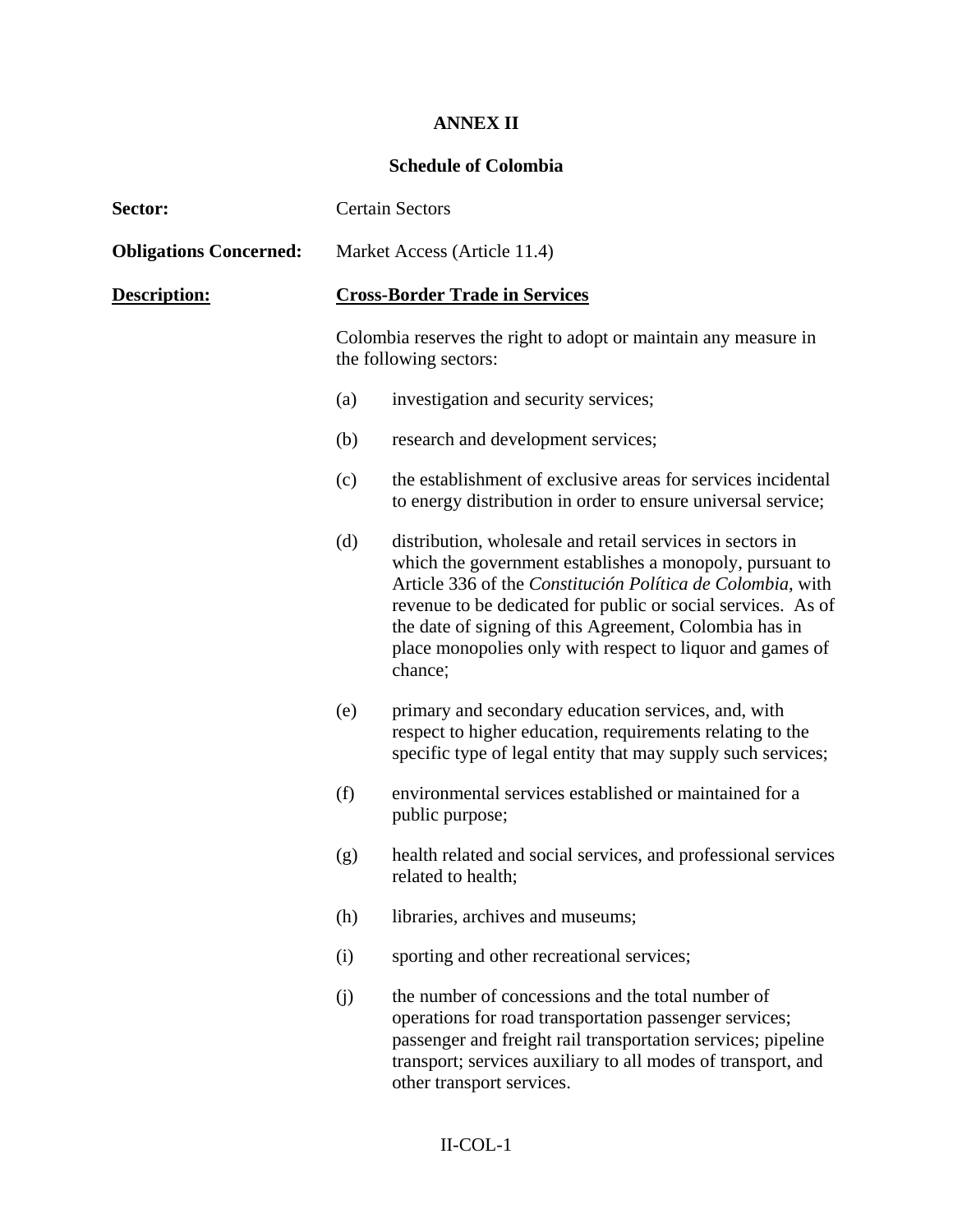# **ANNEX II**

#### **Schedule of Colombia**

| Sector:                       | <b>Certain Sectors</b>                |                                                                                                                                                                                                                                                                                                                                                                                       |
|-------------------------------|---------------------------------------|---------------------------------------------------------------------------------------------------------------------------------------------------------------------------------------------------------------------------------------------------------------------------------------------------------------------------------------------------------------------------------------|
| <b>Obligations Concerned:</b> | Market Access (Article 11.4)          |                                                                                                                                                                                                                                                                                                                                                                                       |
| Description:                  | <b>Cross-Border Trade in Services</b> |                                                                                                                                                                                                                                                                                                                                                                                       |
|                               |                                       | Colombia reserves the right to adopt or maintain any measure in<br>the following sectors:                                                                                                                                                                                                                                                                                             |
|                               | (a)                                   | investigation and security services;                                                                                                                                                                                                                                                                                                                                                  |
|                               | (b)                                   | research and development services;                                                                                                                                                                                                                                                                                                                                                    |
|                               | (c)                                   | the establishment of exclusive areas for services incidental<br>to energy distribution in order to ensure universal service;                                                                                                                                                                                                                                                          |
|                               | (d)                                   | distribution, wholesale and retail services in sectors in<br>which the government establishes a monopoly, pursuant to<br>Article 336 of the Constitución Política de Colombia, with<br>revenue to be dedicated for public or social services. As of<br>the date of signing of this Agreement, Colombia has in<br>place monopolies only with respect to liquor and games of<br>chance; |
|                               | (e)                                   | primary and secondary education services, and, with<br>respect to higher education, requirements relating to the<br>specific type of legal entity that may supply such services;                                                                                                                                                                                                      |
|                               | (f)                                   | environmental services established or maintained for a<br>public purpose;                                                                                                                                                                                                                                                                                                             |
|                               | (g)                                   | health related and social services, and professional services<br>related to health;                                                                                                                                                                                                                                                                                                   |
|                               | (h)                                   | libraries, archives and museums;                                                                                                                                                                                                                                                                                                                                                      |
|                               | (i)                                   | sporting and other recreational services;                                                                                                                                                                                                                                                                                                                                             |
|                               | (j)                                   | the number of concessions and the total number of<br>operations for road transportation passenger services;<br>passenger and freight rail transportation services; pipeline<br>transport; services auxiliary to all modes of transport, and<br>other transport services.                                                                                                              |
|                               |                                       | $II-COL-1$                                                                                                                                                                                                                                                                                                                                                                            |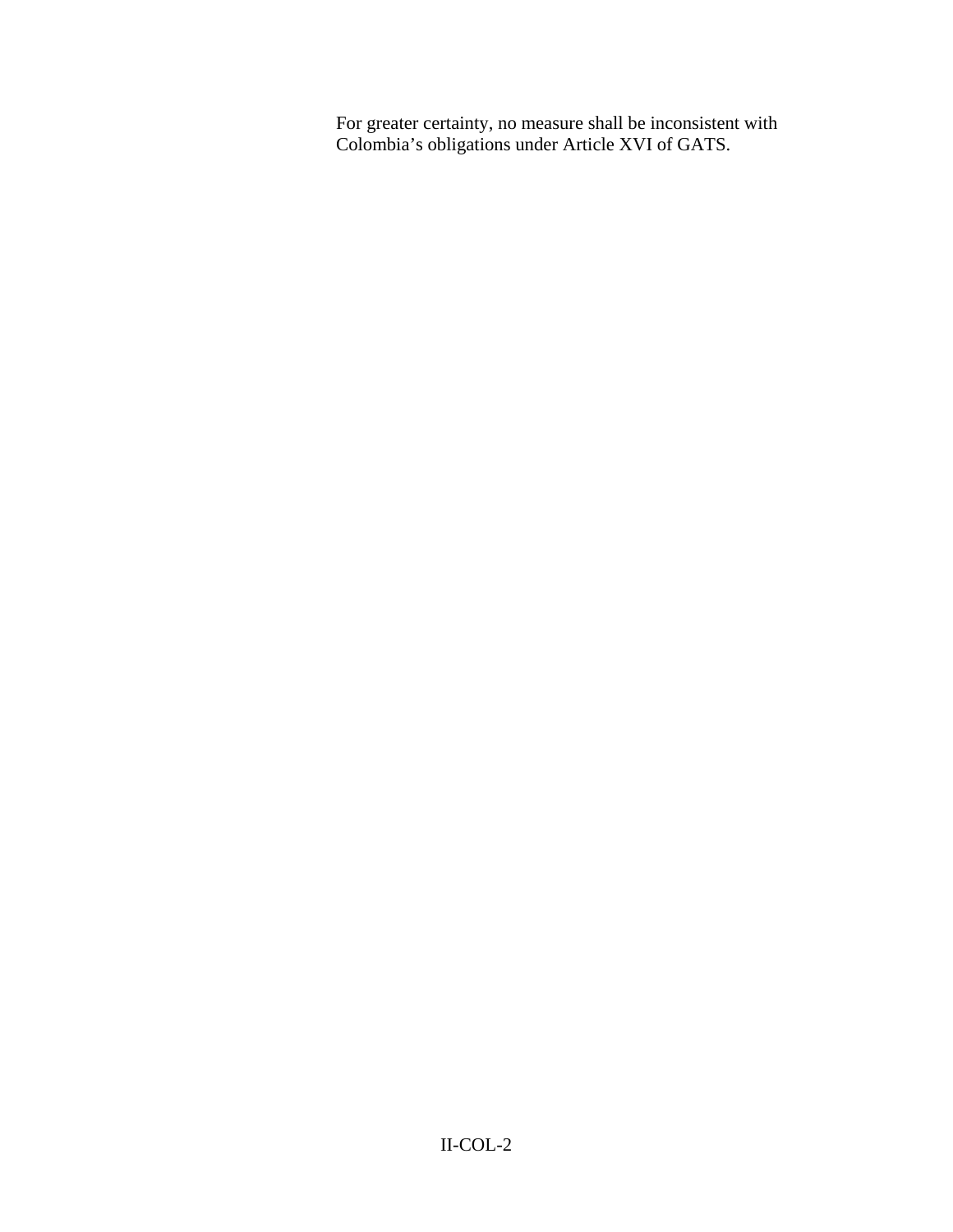For greater certainty, no measure shall be inconsistent with Colombia's obligations under Article XVI of GATS.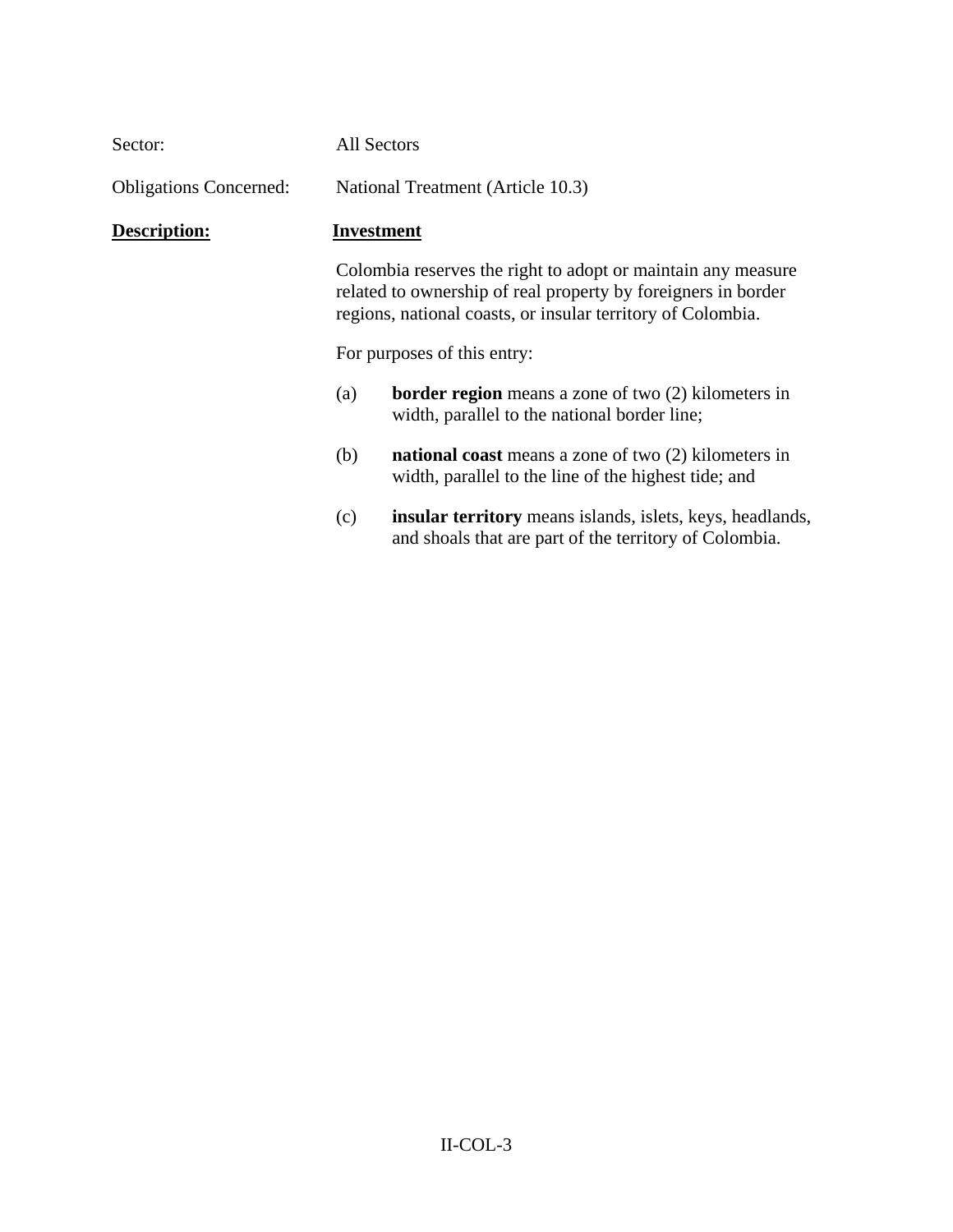| Sector:                       | All Sectors                                                                                                                                                                                  |  |
|-------------------------------|----------------------------------------------------------------------------------------------------------------------------------------------------------------------------------------------|--|
| <b>Obligations Concerned:</b> | National Treatment (Article 10.3)                                                                                                                                                            |  |
| Description:                  | Investment                                                                                                                                                                                   |  |
|                               | Colombia reserves the right to adopt or maintain any measure<br>related to ownership of real property by foreigners in border<br>regions, national coasts, or insular territory of Colombia. |  |
|                               | For purposes of this entry:                                                                                                                                                                  |  |
|                               | <b>border region</b> means a zone of two $(2)$ kilometers in<br>(a)<br>width, parallel to the national border line;                                                                          |  |
|                               | (b)<br><b>national coast</b> means a zone of two (2) kilometers in<br>width, parallel to the line of the highest tide; and                                                                   |  |
|                               | insular territory means islands, islets, keys, headlands,<br>(c)<br>and shoals that are part of the territory of Colombia.                                                                   |  |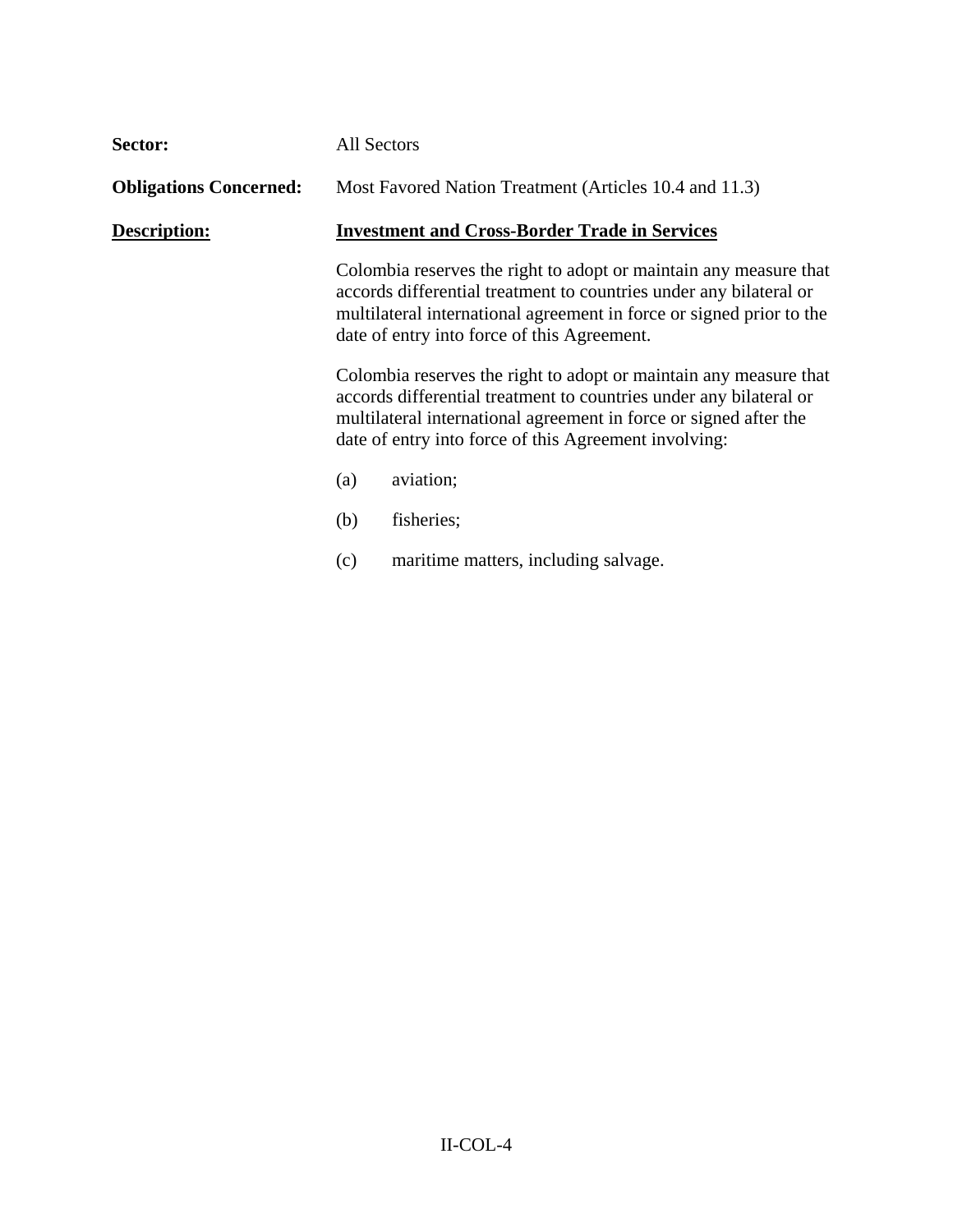| Sector:                       | All Sectors                                                                                                                                                                                                                                                           |                                                                                                                                                                                                                                                                |
|-------------------------------|-----------------------------------------------------------------------------------------------------------------------------------------------------------------------------------------------------------------------------------------------------------------------|----------------------------------------------------------------------------------------------------------------------------------------------------------------------------------------------------------------------------------------------------------------|
| <b>Obligations Concerned:</b> |                                                                                                                                                                                                                                                                       | Most Favored Nation Treatment (Articles 10.4 and 11.3)                                                                                                                                                                                                         |
| Description:                  | <b>Investment and Cross-Border Trade in Services</b>                                                                                                                                                                                                                  |                                                                                                                                                                                                                                                                |
|                               |                                                                                                                                                                                                                                                                       | Colombia reserves the right to adopt or maintain any measure that<br>accords differential treatment to countries under any bilateral or<br>multilateral international agreement in force or signed prior to the<br>date of entry into force of this Agreement. |
|                               | Colombia reserves the right to adopt or maintain any measure that<br>accords differential treatment to countries under any bilateral or<br>multilateral international agreement in force or signed after the<br>date of entry into force of this Agreement involving: |                                                                                                                                                                                                                                                                |
|                               | (a)                                                                                                                                                                                                                                                                   | aviation;                                                                                                                                                                                                                                                      |
|                               | (b)                                                                                                                                                                                                                                                                   | fisheries;                                                                                                                                                                                                                                                     |
|                               | (c)                                                                                                                                                                                                                                                                   | maritime matters, including salvage.                                                                                                                                                                                                                           |
|                               |                                                                                                                                                                                                                                                                       |                                                                                                                                                                                                                                                                |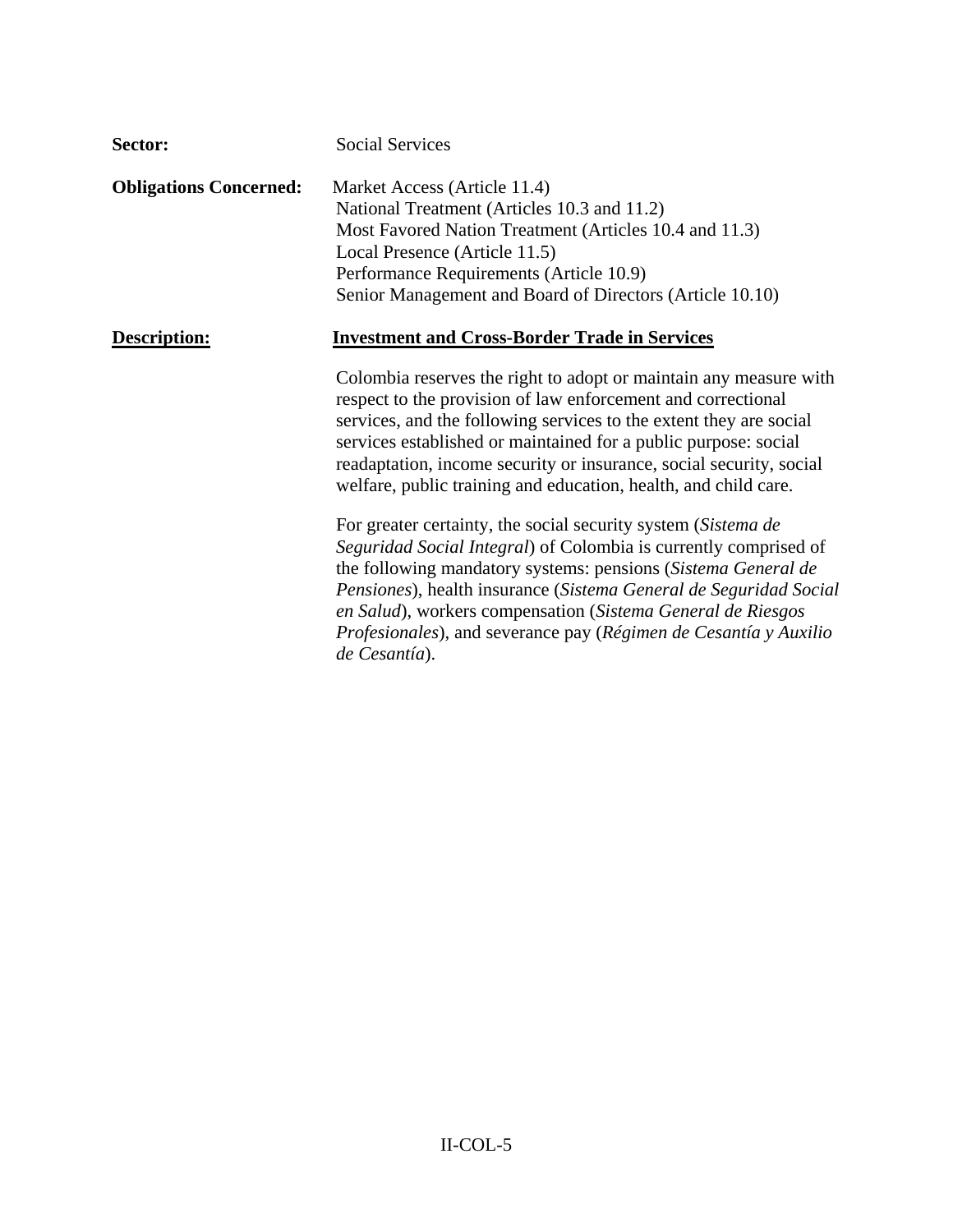| Sector:                       | <b>Social Services</b>                                                                                                                                                                                                                                                                                                                                                                                                      |
|-------------------------------|-----------------------------------------------------------------------------------------------------------------------------------------------------------------------------------------------------------------------------------------------------------------------------------------------------------------------------------------------------------------------------------------------------------------------------|
| <b>Obligations Concerned:</b> | Market Access (Article 11.4)<br>National Treatment (Articles 10.3 and 11.2)<br>Most Favored Nation Treatment (Articles 10.4 and 11.3)<br>Local Presence (Article 11.5)<br>Performance Requirements (Article 10.9)<br>Senior Management and Board of Directors (Article 10.10)                                                                                                                                               |
| Description:                  | <b>Investment and Cross-Border Trade in Services</b>                                                                                                                                                                                                                                                                                                                                                                        |
|                               | Colombia reserves the right to adopt or maintain any measure with<br>respect to the provision of law enforcement and correctional<br>services, and the following services to the extent they are social<br>services established or maintained for a public purpose: social<br>readaptation, income security or insurance, social security, social<br>welfare, public training and education, health, and child care.        |
|                               | For greater certainty, the social security system (Sistema de<br>Seguridad Social Integral) of Colombia is currently comprised of<br>the following mandatory systems: pensions (Sistema General de<br>Pensiones), health insurance (Sistema General de Seguridad Social<br>en Salud), workers compensation (Sistema General de Riesgos<br>Profesionales), and severance pay (Régimen de Cesantía y Auxilio<br>de Cesantía). |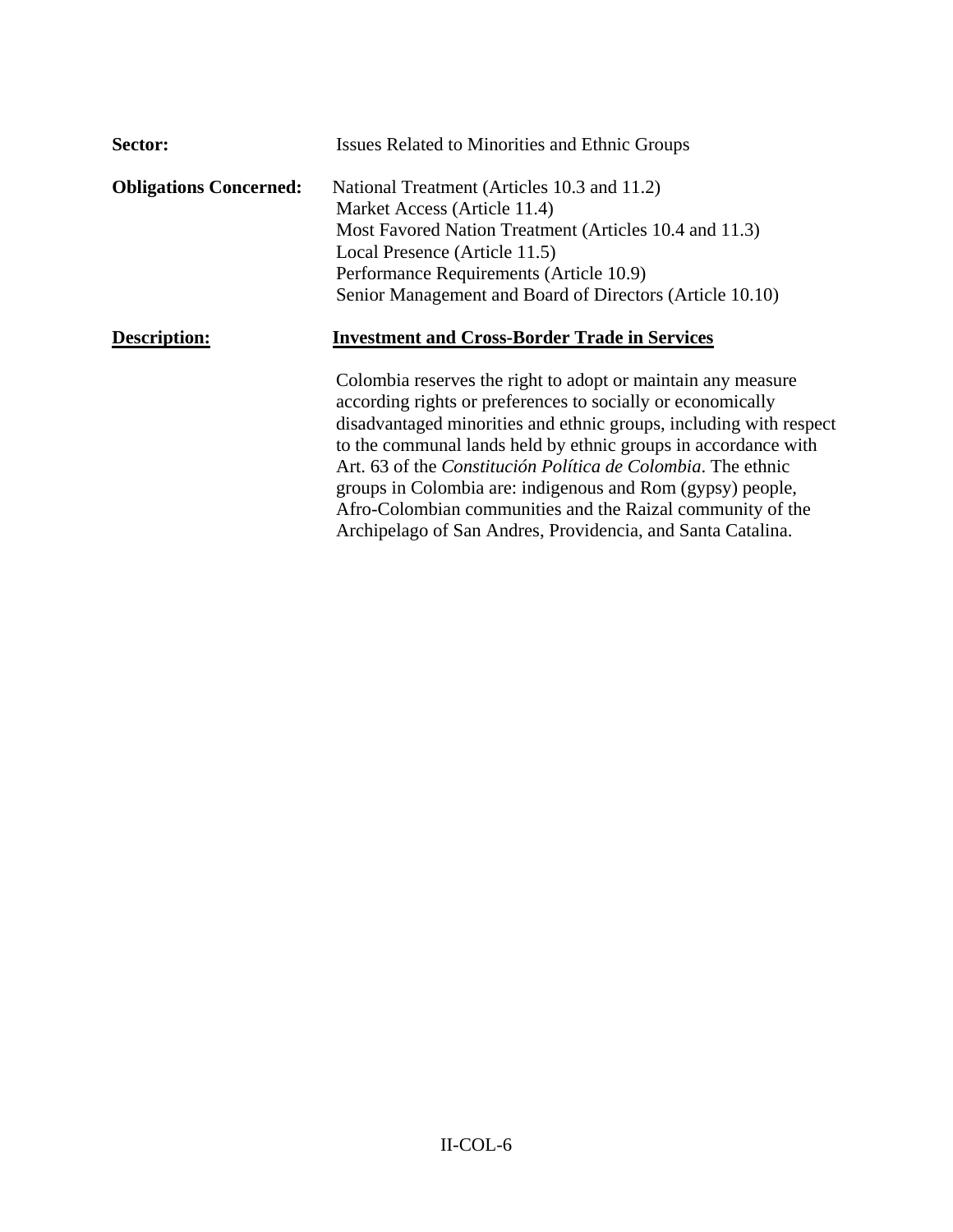| Sector:                       | <b>Issues Related to Minorities and Ethnic Groups</b>                                                                                                                                                                                                                                                                                                                                                                                                                                                                                  |
|-------------------------------|----------------------------------------------------------------------------------------------------------------------------------------------------------------------------------------------------------------------------------------------------------------------------------------------------------------------------------------------------------------------------------------------------------------------------------------------------------------------------------------------------------------------------------------|
| <b>Obligations Concerned:</b> | National Treatment (Articles 10.3 and 11.2)<br>Market Access (Article 11.4)<br>Most Favored Nation Treatment (Articles 10.4 and 11.3)<br>Local Presence (Article 11.5)<br>Performance Requirements (Article 10.9)<br>Senior Management and Board of Directors (Article 10.10)                                                                                                                                                                                                                                                          |
| Description:                  | <b>Investment and Cross-Border Trade in Services</b>                                                                                                                                                                                                                                                                                                                                                                                                                                                                                   |
|                               | Colombia reserves the right to adopt or maintain any measure<br>according rights or preferences to socially or economically<br>disadvantaged minorities and ethnic groups, including with respect<br>to the communal lands held by ethnic groups in accordance with<br>Art. 63 of the <i>Constitución Política de Colombia</i> . The ethnic<br>groups in Colombia are: indigenous and Rom (gypsy) people,<br>Afro-Colombian communities and the Raizal community of the<br>Archipelago of San Andres, Providencia, and Santa Catalina. |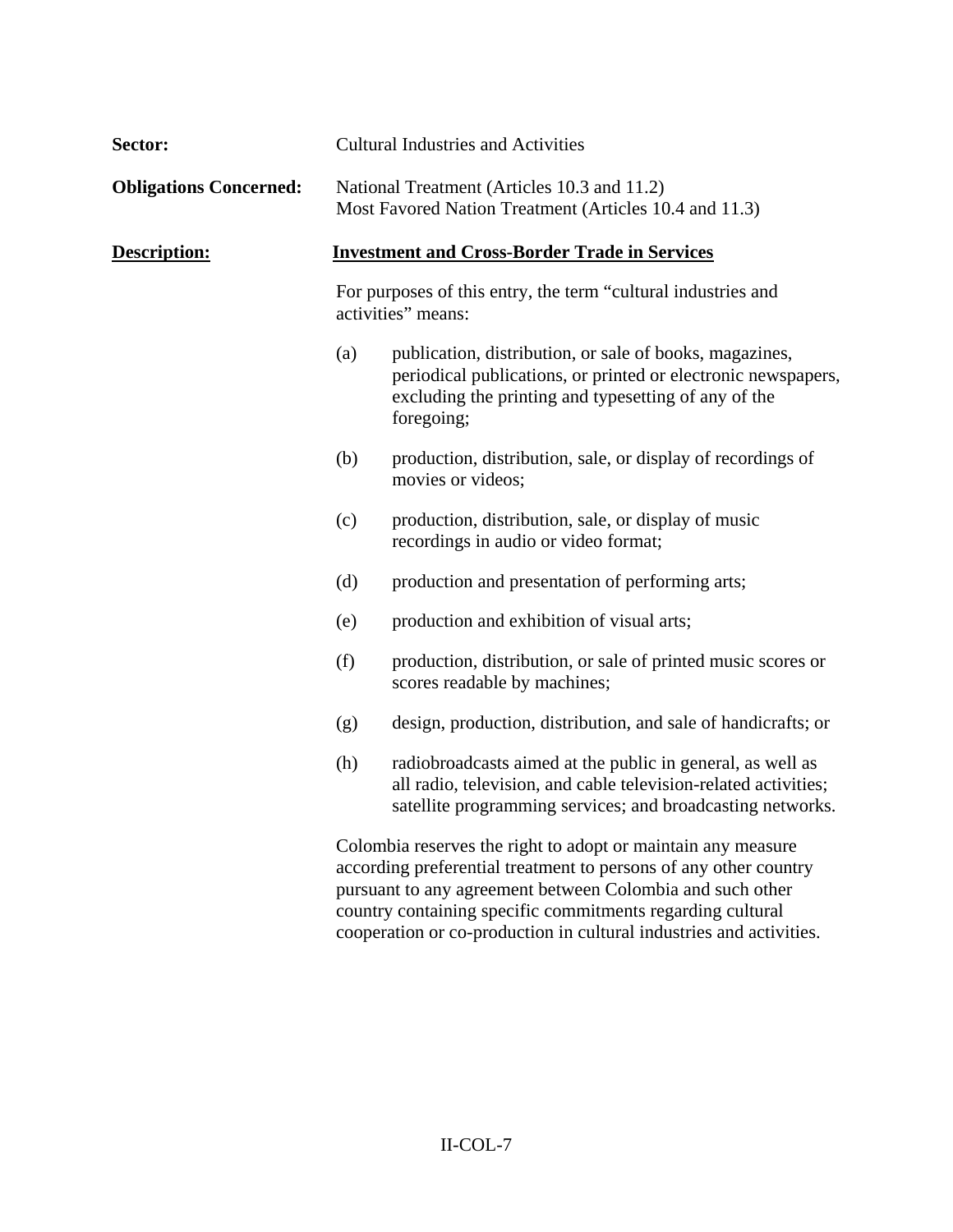| Sector:                       |                                                                                                                                                                                                                                                             | <b>Cultural Industries and Activities</b>                                                                                                                                                      |
|-------------------------------|-------------------------------------------------------------------------------------------------------------------------------------------------------------------------------------------------------------------------------------------------------------|------------------------------------------------------------------------------------------------------------------------------------------------------------------------------------------------|
| <b>Obligations Concerned:</b> |                                                                                                                                                                                                                                                             | National Treatment (Articles 10.3 and 11.2)<br>Most Favored Nation Treatment (Articles 10.4 and 11.3)                                                                                          |
| Description:                  | <b>Investment and Cross-Border Trade in Services</b><br>For purposes of this entry, the term "cultural industries and<br>activities" means:                                                                                                                 |                                                                                                                                                                                                |
|                               |                                                                                                                                                                                                                                                             |                                                                                                                                                                                                |
|                               | (a)                                                                                                                                                                                                                                                         | publication, distribution, or sale of books, magazines,<br>periodical publications, or printed or electronic newspapers,<br>excluding the printing and typesetting of any of the<br>foregoing; |
|                               | (b)                                                                                                                                                                                                                                                         | production, distribution, sale, or display of recordings of<br>movies or videos;                                                                                                               |
|                               | (c)                                                                                                                                                                                                                                                         | production, distribution, sale, or display of music<br>recordings in audio or video format;                                                                                                    |
|                               | (d)                                                                                                                                                                                                                                                         | production and presentation of performing arts;                                                                                                                                                |
|                               | (e)                                                                                                                                                                                                                                                         | production and exhibition of visual arts;                                                                                                                                                      |
|                               | (f)                                                                                                                                                                                                                                                         | production, distribution, or sale of printed music scores or<br>scores readable by machines;                                                                                                   |
|                               | (g)                                                                                                                                                                                                                                                         | design, production, distribution, and sale of handicrafts; or                                                                                                                                  |
|                               | (h)                                                                                                                                                                                                                                                         | radiobroadcasts aimed at the public in general, as well as<br>all radio, television, and cable television-related activities;<br>satellite programming services; and broadcasting networks.    |
|                               | Colombia reserves the right to adopt or maintain any measure<br>according preferential treatment to persons of any other country<br>pursuant to any agreement between Colombia and such other<br>country containing specific commitments regarding cultural |                                                                                                                                                                                                |

cooperation or co-production in cultural industries and activities.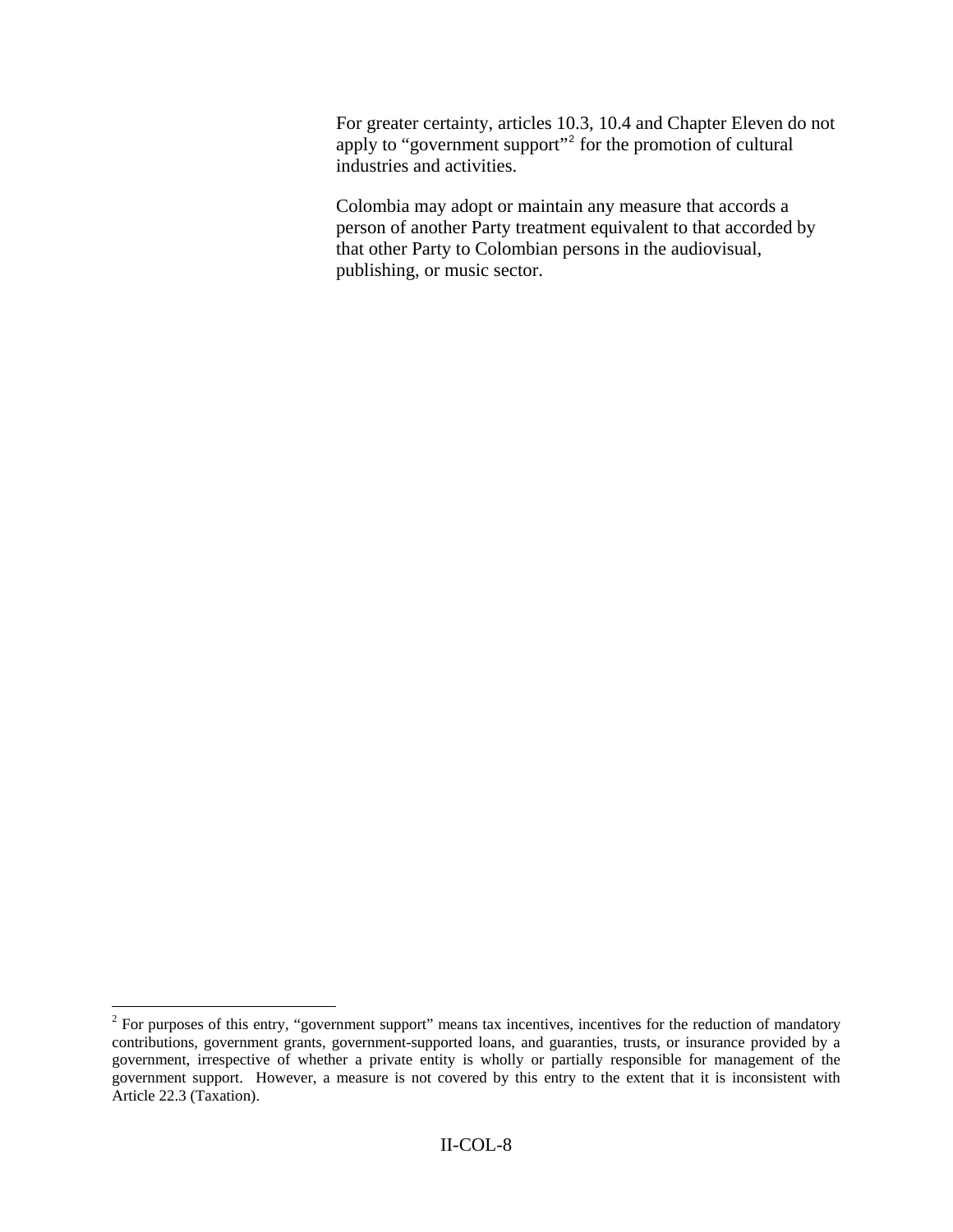For greater certainty, articles 10.3, 10.4 and Chapter Eleven do not apply to "government support"<sup>[2](#page-7-0)</sup> for the promotion of cultural industries and activities.

Colombia may adopt or maintain any measure that accords a person of another Party treatment equivalent to that accorded by that other Party to Colombian persons in the audiovisual, publishing, or music sector.

<span id="page-7-0"></span><sup>&</sup>lt;sup>2</sup> For purposes of this entry, "government support" means tax incentives, incentives for the reduction of mandatory contributions, government grants, government-supported loans, and guaranties, trusts, or insurance provided by a government, irrespective of whether a private entity is wholly or partially responsible for management of the government support. However, a measure is not covered by this entry to the extent that it is inconsistent with Article 22.3 (Taxation).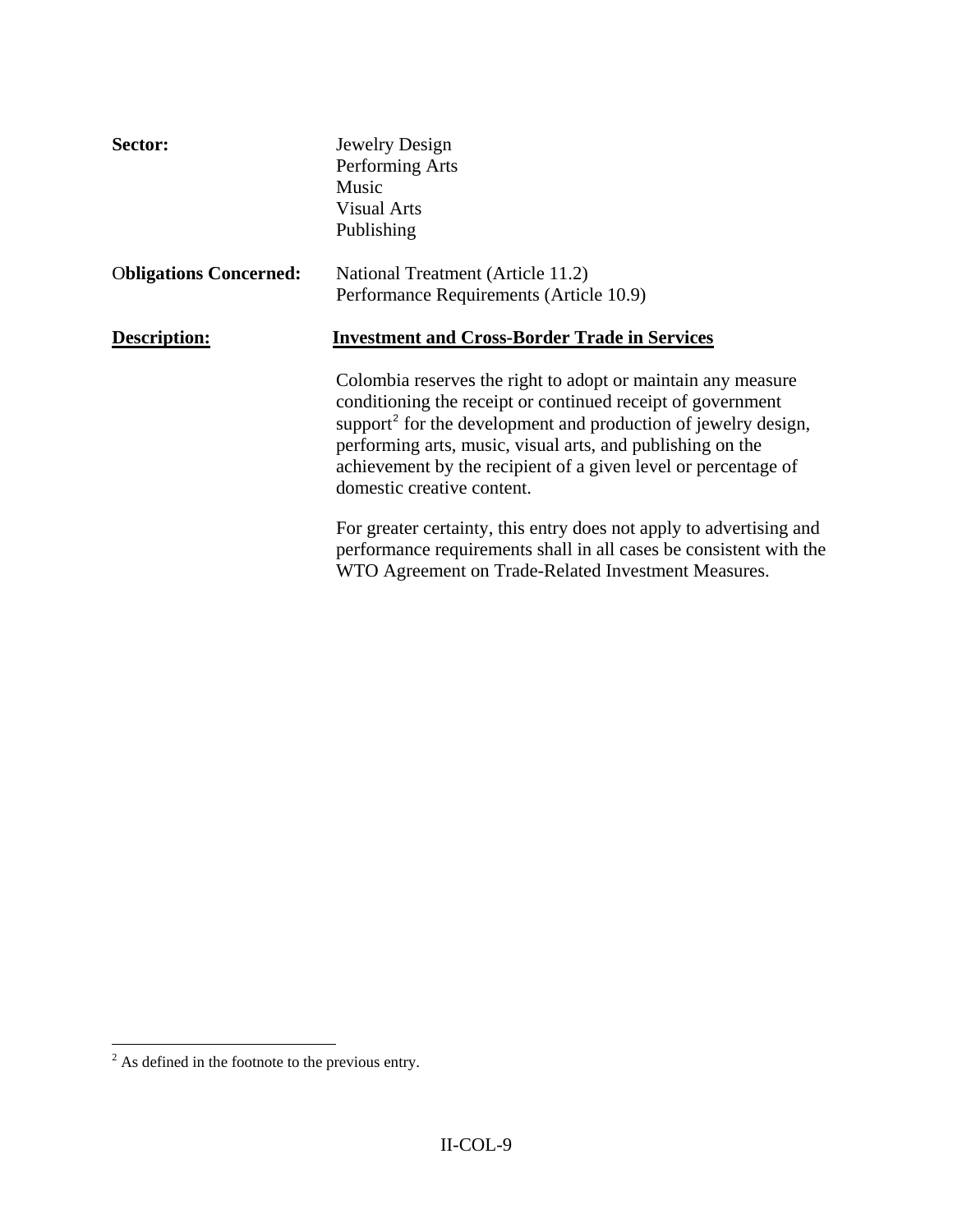| Sector:                       | Jewelry Design<br>Performing Arts<br>Music<br><b>Visual Arts</b><br>Publishing                                                                                                                                                                                                                                                                                          |
|-------------------------------|-------------------------------------------------------------------------------------------------------------------------------------------------------------------------------------------------------------------------------------------------------------------------------------------------------------------------------------------------------------------------|
| <b>Obligations Concerned:</b> | National Treatment (Article 11.2)<br>Performance Requirements (Article 10.9)                                                                                                                                                                                                                                                                                            |
| Description:                  | <b>Investment and Cross-Border Trade in Services</b>                                                                                                                                                                                                                                                                                                                    |
|                               | Colombia reserves the right to adopt or maintain any measure<br>conditioning the receipt or continued receipt of government<br>support <sup>2</sup> for the development and production of jewelry design,<br>performing arts, music, visual arts, and publishing on the<br>achievement by the recipient of a given level or percentage of<br>domestic creative content. |
|                               | For greater certainty, this entry does not apply to advertising and<br>performance requirements shall in all cases be consistent with the<br>WTO Agreement on Trade-Related Investment Measures.                                                                                                                                                                        |

<span id="page-8-0"></span><sup>&</sup>lt;sup>2</sup> As defined in the footnote to the previous entry.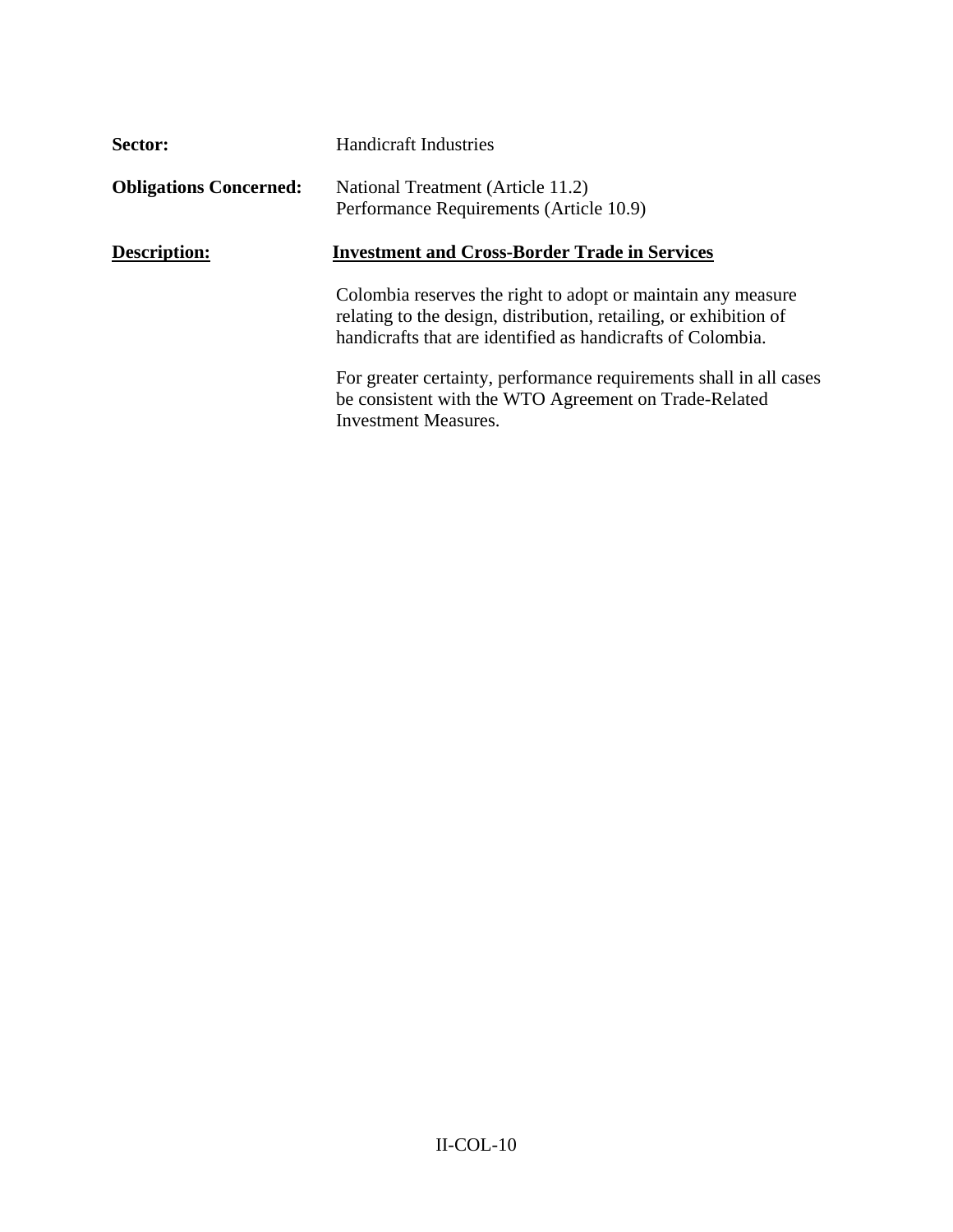| Sector:                       | <b>Handicraft Industries</b>                                                                                                                                                                     |  |
|-------------------------------|--------------------------------------------------------------------------------------------------------------------------------------------------------------------------------------------------|--|
| <b>Obligations Concerned:</b> | National Treatment (Article 11.2)<br>Performance Requirements (Article 10.9)                                                                                                                     |  |
| <b>Description:</b>           | <b>Investment and Cross-Border Trade in Services</b>                                                                                                                                             |  |
|                               | Colombia reserves the right to adopt or maintain any measure<br>relating to the design, distribution, retailing, or exhibition of<br>handicrafts that are identified as handicrafts of Colombia. |  |
|                               | For greater certainty, performance requirements shall in all cases<br>be consistent with the WTO Agreement on Trade-Related<br><b>Investment Measures.</b>                                       |  |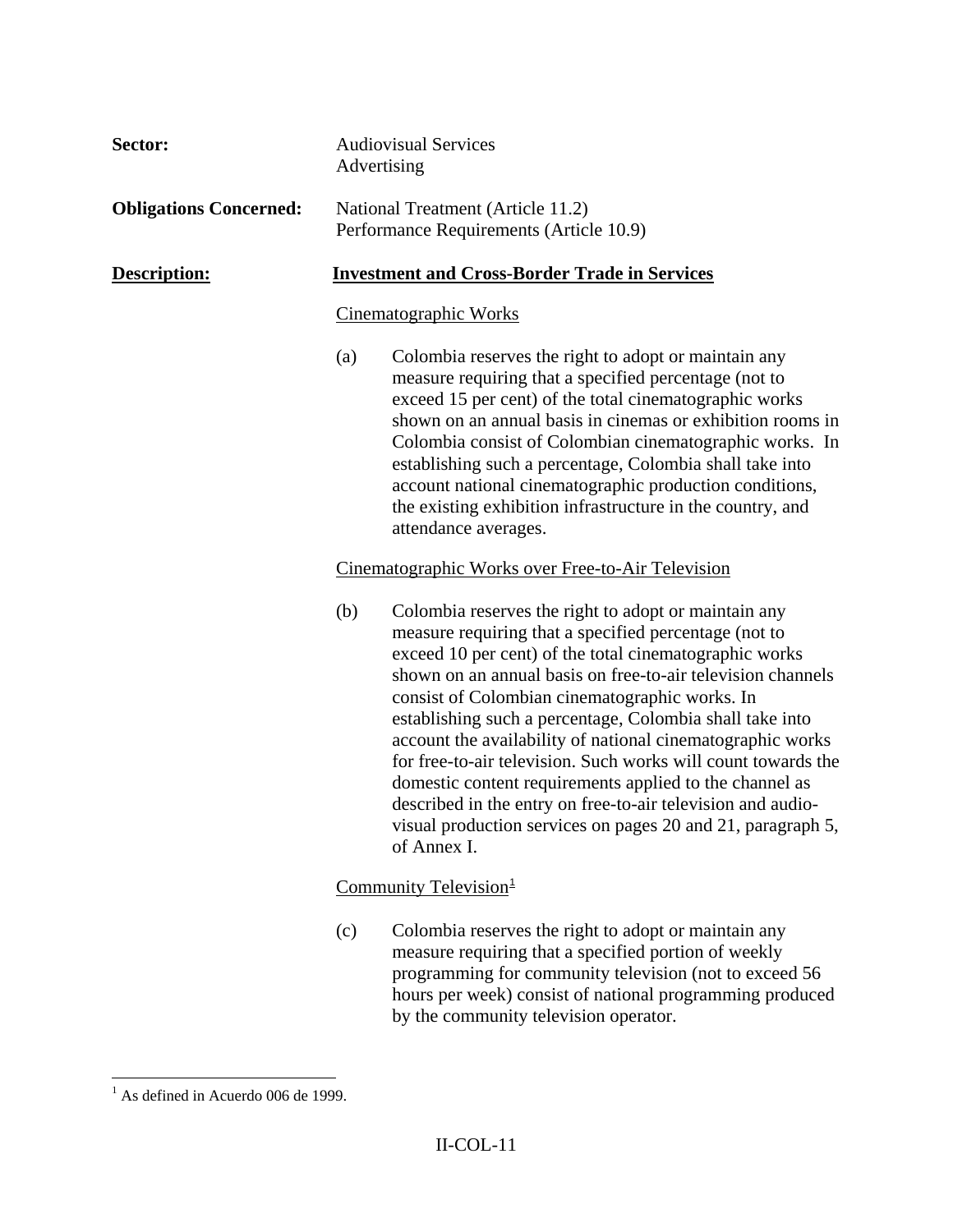| Sector:                       |                                                      | <b>Audiovisual Services</b><br>Advertising                                                                                                                                                                                                                                                                                                                                                                                                                                                                                                                                                                                                                                                  |
|-------------------------------|------------------------------------------------------|---------------------------------------------------------------------------------------------------------------------------------------------------------------------------------------------------------------------------------------------------------------------------------------------------------------------------------------------------------------------------------------------------------------------------------------------------------------------------------------------------------------------------------------------------------------------------------------------------------------------------------------------------------------------------------------------|
| <b>Obligations Concerned:</b> |                                                      | National Treatment (Article 11.2)<br>Performance Requirements (Article 10.9)                                                                                                                                                                                                                                                                                                                                                                                                                                                                                                                                                                                                                |
| Description:                  | <b>Investment and Cross-Border Trade in Services</b> |                                                                                                                                                                                                                                                                                                                                                                                                                                                                                                                                                                                                                                                                                             |
|                               | Cinematographic Works                                |                                                                                                                                                                                                                                                                                                                                                                                                                                                                                                                                                                                                                                                                                             |
|                               | (a)                                                  | Colombia reserves the right to adopt or maintain any<br>measure requiring that a specified percentage (not to<br>exceed 15 per cent) of the total cinematographic works<br>shown on an annual basis in cinemas or exhibition rooms in<br>Colombia consist of Colombian cinematographic works. In<br>establishing such a percentage, Colombia shall take into<br>account national cinematographic production conditions,<br>the existing exhibition infrastructure in the country, and<br>attendance averages.                                                                                                                                                                               |
|                               |                                                      | Cinematographic Works over Free-to-Air Television                                                                                                                                                                                                                                                                                                                                                                                                                                                                                                                                                                                                                                           |
|                               | (b)                                                  | Colombia reserves the right to adopt or maintain any<br>measure requiring that a specified percentage (not to<br>exceed 10 per cent) of the total cinematographic works<br>shown on an annual basis on free-to-air television channels<br>consist of Colombian cinematographic works. In<br>establishing such a percentage, Colombia shall take into<br>account the availability of national cinematographic works<br>for free-to-air television. Such works will count towards the<br>domestic content requirements applied to the channel as<br>described in the entry on free-to-air television and audio-<br>visual production services on pages 20 and 21, paragraph 5,<br>of Annex I. |
|                               |                                                      | Community Television <sup>1</sup>                                                                                                                                                                                                                                                                                                                                                                                                                                                                                                                                                                                                                                                           |
|                               | (c)                                                  | Colombia reserves the right to adopt or maintain any<br>measure requiring that a specified portion of weekly<br>programming for community television (not to exceed 56<br>hours per week) consist of national programming produced                                                                                                                                                                                                                                                                                                                                                                                                                                                          |

<span id="page-10-0"></span><sup>&</sup>lt;sup>1</sup> As defined in Acuerdo 006 de 1999.

by the community television operator.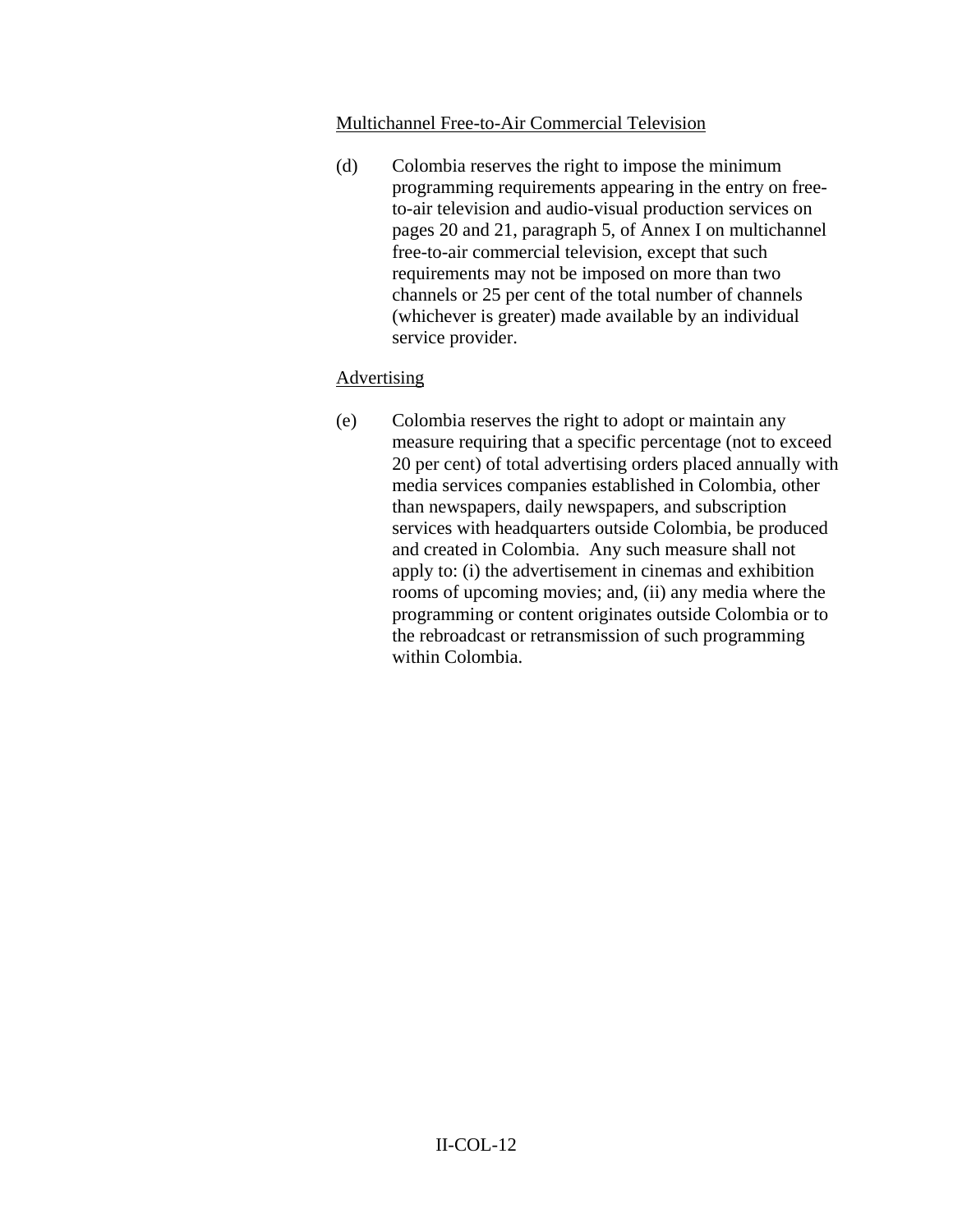#### Multichannel Free-to-Air Commercial Television

(d) Colombia reserves the right to impose the minimum programming requirements appearing in the entry on freeto-air television and audio-visual production services on pages 20 and 21, paragraph 5, of Annex I on multichannel free-to-air commercial television, except that such requirements may not be imposed on more than two channels or 25 per cent of the total number of channels (whichever is greater) made available by an individual service provider.

### Advertising

(e) Colombia reserves the right to adopt or maintain any measure requiring that a specific percentage (not to exceed 20 per cent) of total advertising orders placed annually with media services companies established in Colombia, other than newspapers, daily newspapers, and subscription services with headquarters outside Colombia, be produced and created in Colombia. Any such measure shall not apply to: (i) the advertisement in cinemas and exhibition rooms of upcoming movies; and, (ii) any media where the programming or content originates outside Colombia or to the rebroadcast or retransmission of such programming within Colombia.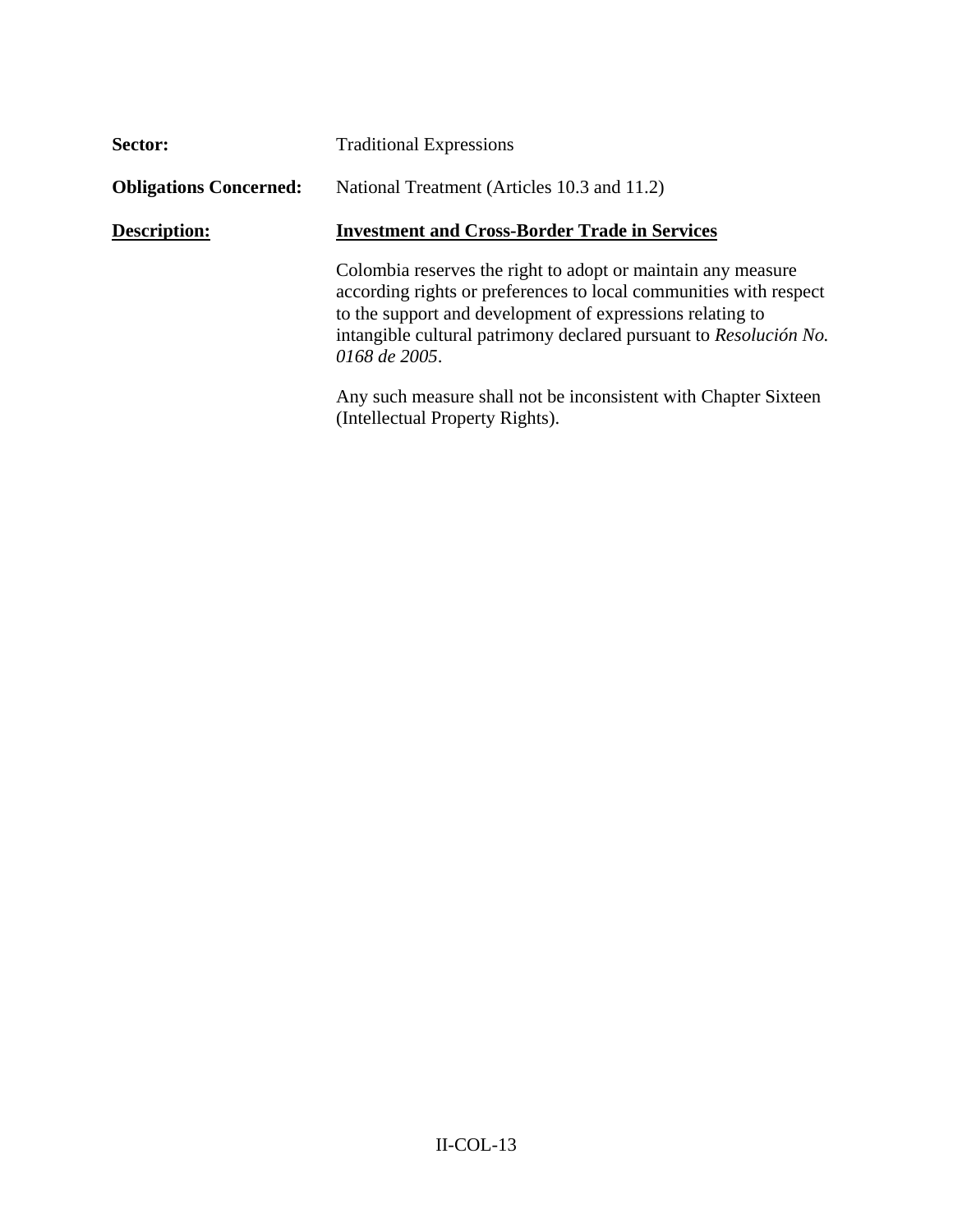| Sector:                       | <b>Traditional Expressions</b>                                                                                                                                                                                                                                                       |  |
|-------------------------------|--------------------------------------------------------------------------------------------------------------------------------------------------------------------------------------------------------------------------------------------------------------------------------------|--|
| <b>Obligations Concerned:</b> | National Treatment (Articles 10.3 and 11.2)                                                                                                                                                                                                                                          |  |
| <b>Description:</b>           | <b>Investment and Cross-Border Trade in Services</b>                                                                                                                                                                                                                                 |  |
|                               | Colombia reserves the right to adopt or maintain any measure<br>according rights or preferences to local communities with respect<br>to the support and development of expressions relating to<br>intangible cultural patrimony declared pursuant to Resolución No.<br>0168 de 2005. |  |
|                               | Any such measure shall not be inconsistent with Chapter Sixteen<br>(Intellectual Property Rights).                                                                                                                                                                                   |  |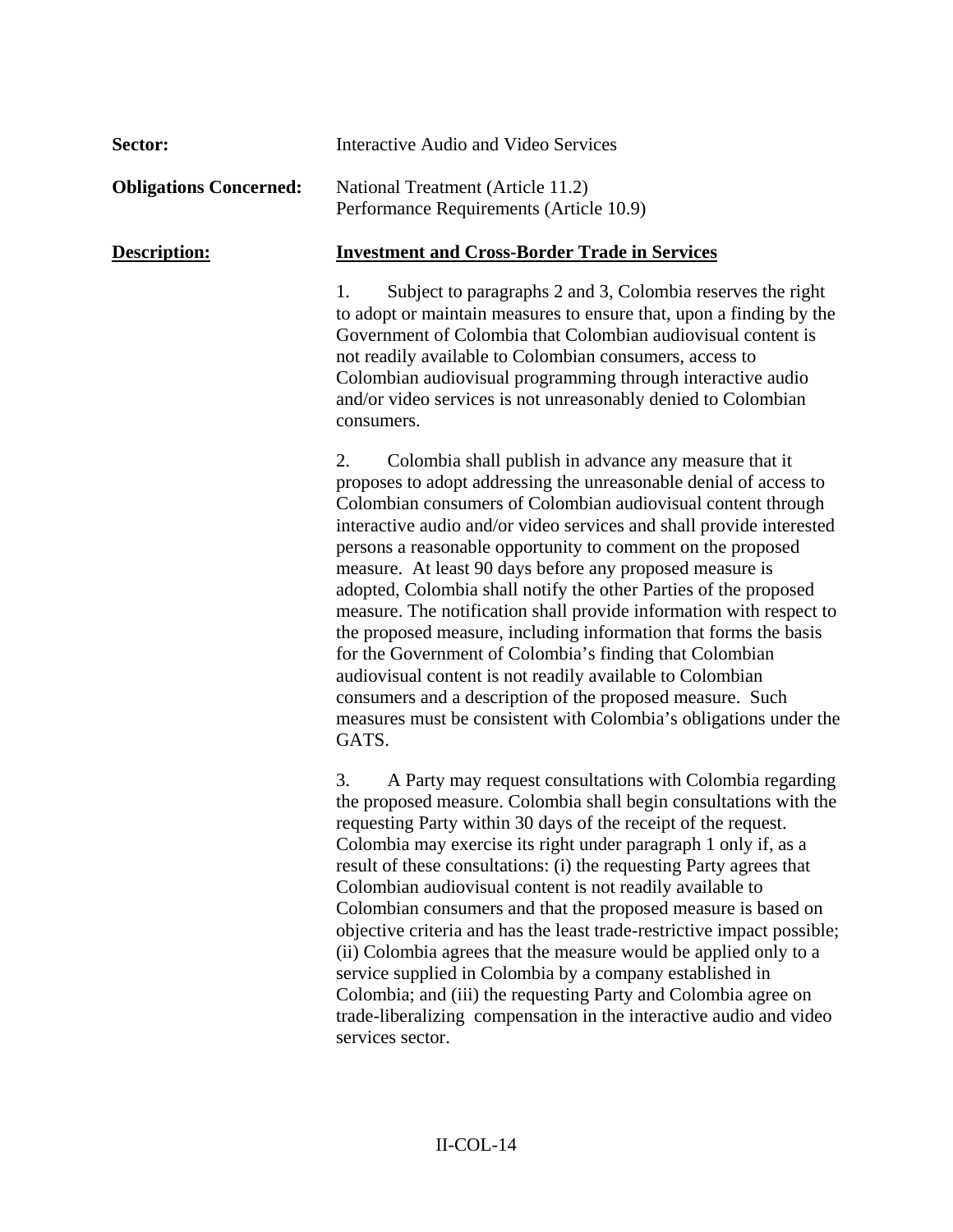| Sector:                       | <b>Interactive Audio and Video Services</b>                                                                                                                                                                                                                                                                                                                                                                                                                                                                                                                                                                                                                                                                                                                                                                                                                                           |  |
|-------------------------------|---------------------------------------------------------------------------------------------------------------------------------------------------------------------------------------------------------------------------------------------------------------------------------------------------------------------------------------------------------------------------------------------------------------------------------------------------------------------------------------------------------------------------------------------------------------------------------------------------------------------------------------------------------------------------------------------------------------------------------------------------------------------------------------------------------------------------------------------------------------------------------------|--|
| <b>Obligations Concerned:</b> | National Treatment (Article 11.2)<br>Performance Requirements (Article 10.9)                                                                                                                                                                                                                                                                                                                                                                                                                                                                                                                                                                                                                                                                                                                                                                                                          |  |
| Description:                  | <b>Investment and Cross-Border Trade in Services</b>                                                                                                                                                                                                                                                                                                                                                                                                                                                                                                                                                                                                                                                                                                                                                                                                                                  |  |
|                               | Subject to paragraphs 2 and 3, Colombia reserves the right<br>1.<br>to adopt or maintain measures to ensure that, upon a finding by the<br>Government of Colombia that Colombian audiovisual content is<br>not readily available to Colombian consumers, access to<br>Colombian audiovisual programming through interactive audio<br>and/or video services is not unreasonably denied to Colombian<br>consumers.                                                                                                                                                                                                                                                                                                                                                                                                                                                                      |  |
|                               | Colombia shall publish in advance any measure that it<br>2.<br>proposes to adopt addressing the unreasonable denial of access to<br>Colombian consumers of Colombian audiovisual content through<br>interactive audio and/or video services and shall provide interested<br>persons a reasonable opportunity to comment on the proposed<br>measure. At least 90 days before any proposed measure is<br>adopted, Colombia shall notify the other Parties of the proposed<br>measure. The notification shall provide information with respect to<br>the proposed measure, including information that forms the basis<br>for the Government of Colombia's finding that Colombian<br>audiovisual content is not readily available to Colombian<br>consumers and a description of the proposed measure. Such<br>measures must be consistent with Colombia's obligations under the<br>GATS. |  |
|                               | 3.<br>A Party may request consultations with Colombia regarding<br>the proposed measure. Colombia shall begin consultations with the<br>requesting Party within 30 days of the receipt of the request.<br>Colombia may exercise its right under paragraph 1 only if, as a<br>result of these consultations: (i) the requesting Party agrees that<br>Colombian audiovisual content is not readily available to<br>Colombian consumers and that the proposed measure is based on<br>objective criteria and has the least trade-restrictive impact possible;<br>(ii) Colombia agrees that the measure would be applied only to a<br>service supplied in Colombia by a company established in<br>Colombia; and (iii) the requesting Party and Colombia agree on<br>trade-liberalizing compensation in the interactive audio and video<br>services sector.                                 |  |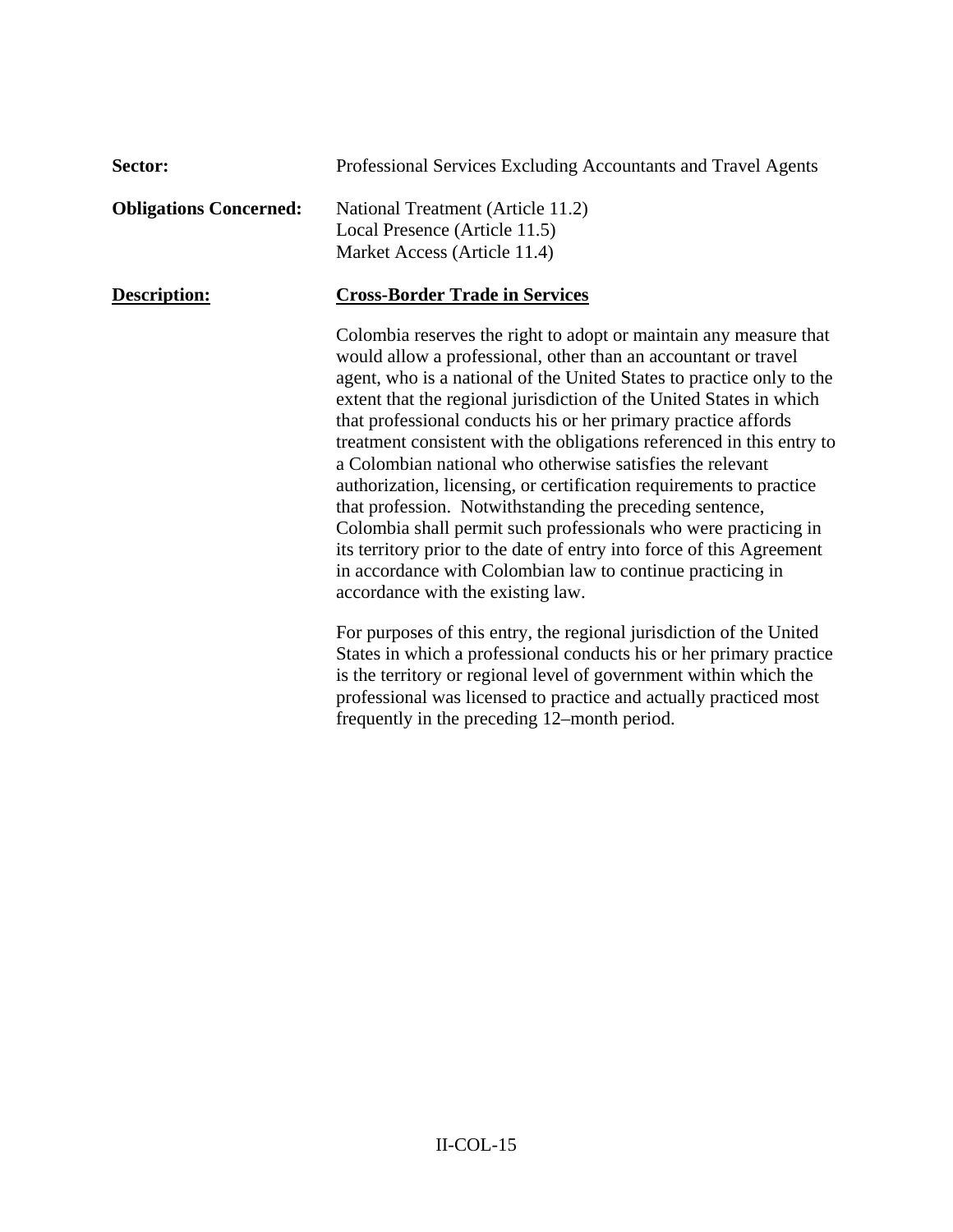| Sector:                       | Professional Services Excluding Accountants and Travel Agents                                                                                                                                                                                                                                                                                                                                                                                                                                                                                                                                                                                                                                                                                                                                                                                                                 |
|-------------------------------|-------------------------------------------------------------------------------------------------------------------------------------------------------------------------------------------------------------------------------------------------------------------------------------------------------------------------------------------------------------------------------------------------------------------------------------------------------------------------------------------------------------------------------------------------------------------------------------------------------------------------------------------------------------------------------------------------------------------------------------------------------------------------------------------------------------------------------------------------------------------------------|
| <b>Obligations Concerned:</b> | National Treatment (Article 11.2)<br>Local Presence (Article 11.5)<br>Market Access (Article 11.4)                                                                                                                                                                                                                                                                                                                                                                                                                                                                                                                                                                                                                                                                                                                                                                            |
| Description:                  | <b>Cross-Border Trade in Services</b>                                                                                                                                                                                                                                                                                                                                                                                                                                                                                                                                                                                                                                                                                                                                                                                                                                         |
|                               | Colombia reserves the right to adopt or maintain any measure that<br>would allow a professional, other than an accountant or travel<br>agent, who is a national of the United States to practice only to the<br>extent that the regional jurisdiction of the United States in which<br>that professional conducts his or her primary practice affords<br>treatment consistent with the obligations referenced in this entry to<br>a Colombian national who otherwise satisfies the relevant<br>authorization, licensing, or certification requirements to practice<br>that profession. Notwithstanding the preceding sentence,<br>Colombia shall permit such professionals who were practicing in<br>its territory prior to the date of entry into force of this Agreement<br>in accordance with Colombian law to continue practicing in<br>accordance with the existing law. |
|                               | For purposes of this entry, the regional jurisdiction of the United<br>States in which a professional conducts his or her primary practice<br>is the territory or regional level of government within which the<br>professional was licensed to practice and actually practiced most<br>frequently in the preceding 12–month period.                                                                                                                                                                                                                                                                                                                                                                                                                                                                                                                                          |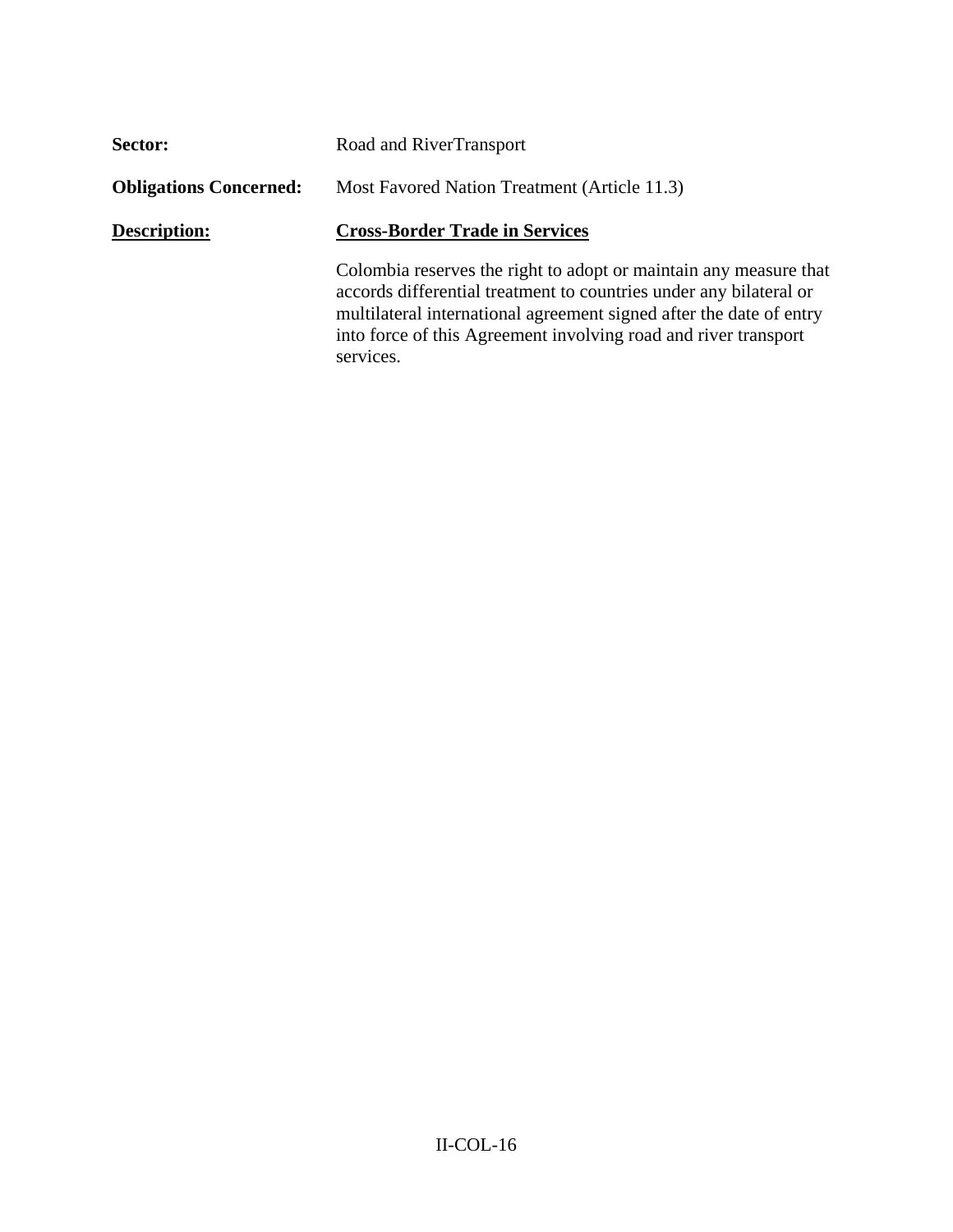| Sector:                       | Road and RiverTransport                                                                                                                                                                                                                                                                        |  |
|-------------------------------|------------------------------------------------------------------------------------------------------------------------------------------------------------------------------------------------------------------------------------------------------------------------------------------------|--|
| <b>Obligations Concerned:</b> | Most Favored Nation Treatment (Article 11.3)                                                                                                                                                                                                                                                   |  |
| <b>Description:</b>           | <b>Cross-Border Trade in Services</b>                                                                                                                                                                                                                                                          |  |
|                               | Colombia reserves the right to adopt or maintain any measure that<br>accords differential treatment to countries under any bilateral or<br>multilateral international agreement signed after the date of entry<br>into force of this Agreement involving road and river transport<br>services. |  |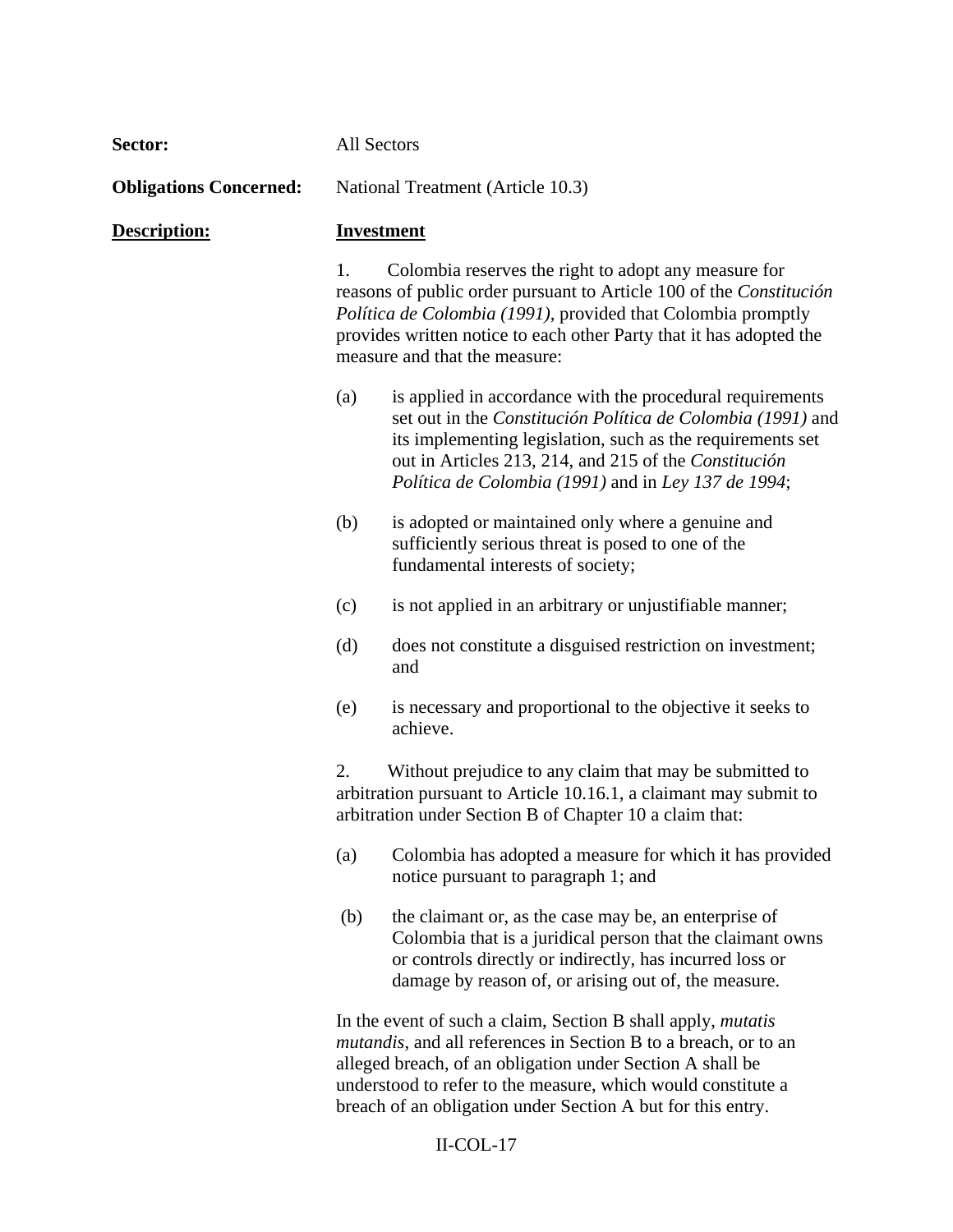| Sector:                       | <b>All Sectors</b>                |                                                                                                                                                                                                                                                                                                        |  |  |
|-------------------------------|-----------------------------------|--------------------------------------------------------------------------------------------------------------------------------------------------------------------------------------------------------------------------------------------------------------------------------------------------------|--|--|
| <b>Obligations Concerned:</b> | National Treatment (Article 10.3) |                                                                                                                                                                                                                                                                                                        |  |  |
| Description:                  | <b>Investment</b>                 |                                                                                                                                                                                                                                                                                                        |  |  |
|                               | 1.                                | Colombia reserves the right to adopt any measure for<br>reasons of public order pursuant to Article 100 of the Constitución<br>Política de Colombia (1991), provided that Colombia promptly<br>provides written notice to each other Party that it has adopted the<br>measure and that the measure:    |  |  |
|                               | (a)                               | is applied in accordance with the procedural requirements<br>set out in the Constitución Política de Colombia (1991) and<br>its implementing legislation, such as the requirements set<br>out in Articles 213, 214, and 215 of the Constitución<br>Política de Colombia (1991) and in Ley 137 de 1994; |  |  |
|                               | (b)                               | is adopted or maintained only where a genuine and<br>sufficiently serious threat is posed to one of the<br>fundamental interests of society;                                                                                                                                                           |  |  |
|                               | (c)                               | is not applied in an arbitrary or unjustifiable manner;                                                                                                                                                                                                                                                |  |  |
|                               | (d)                               | does not constitute a disguised restriction on investment;<br>and                                                                                                                                                                                                                                      |  |  |
|                               | (e)                               | is necessary and proportional to the objective it seeks to<br>achieve.                                                                                                                                                                                                                                 |  |  |
|                               | 2.                                | Without prejudice to any claim that may be submitted to<br>arbitration pursuant to Article 10.16.1, a claimant may submit to<br>arbitration under Section B of Chapter 10 a claim that:                                                                                                                |  |  |
|                               | (a)                               | Colombia has adopted a measure for which it has provided<br>notice pursuant to paragraph 1; and                                                                                                                                                                                                        |  |  |
|                               | (b)                               | the claimant or, as the case may be, an enterprise of<br>Colombia that is a juridical person that the claimant owns<br>or controls directly or indirectly, has incurred loss or<br>damage by reason of, or arising out of, the measure.                                                                |  |  |
|                               |                                   | In the event of such a claim, Section B shall apply, <i>mutatis</i><br><i>mutandis</i> , and all references in Section B to a breach, or to an<br>alleged breach, of an obligation under Section A shall be<br>understood to refer to the measure, which would constitute a                            |  |  |

## II-COL-17

breach of an obligation under Section A but for this entry.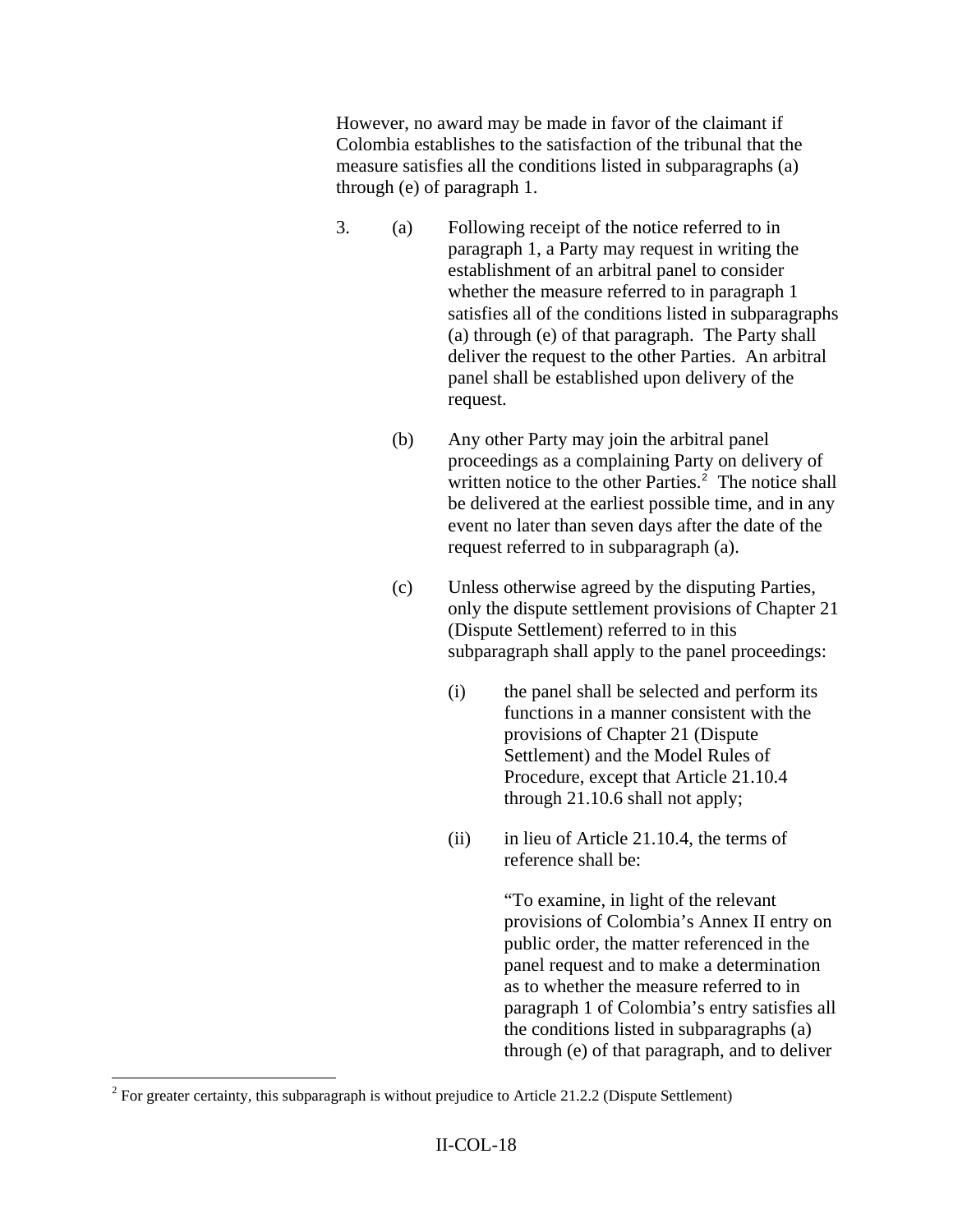However, no award may be made in favor of the claimant if Colombia establishes to the satisfaction of the tribunal that the measure satisfies all the conditions listed in subparagraphs (a) through (e) of paragraph 1.

- 3. (a) Following receipt of the notice referred to in paragraph 1, a Party may request in writing the establishment of an arbitral panel to consider whether the measure referred to in paragraph 1 satisfies all of the conditions listed in subparagraphs (a) through (e) of that paragraph. The Party shall deliver the request to the other Parties. An arbitral panel shall be established upon delivery of the request.
	- (b) Any other Party may join the arbitral panel proceedings as a complaining Party on delivery of written notice to the other Parties.<sup>[2](#page-17-0)</sup> The notice shall be delivered at the earliest possible time, and in any event no later than seven days after the date of the request referred to in subparagraph (a).
	- (c) Unless otherwise agreed by the disputing Parties, only the dispute settlement provisions of Chapter 21 (Dispute Settlement) referred to in this subparagraph shall apply to the panel proceedings:
		- (i) the panel shall be selected and perform its functions in a manner consistent with the provisions of Chapter 21 (Dispute Settlement) and the Model Rules of Procedure, except that Article 21.10.4 through 21.10.6 shall not apply;
		- (ii) in lieu of Article 21.10.4, the terms of reference shall be:

 "To examine, in light of the relevant provisions of Colombia's Annex II entry on public order, the matter referenced in the panel request and to make a determination as to whether the measure referred to in paragraph 1 of Colombia's entry satisfies all the conditions listed in subparagraphs (a) through (e) of that paragraph, and to deliver

<span id="page-17-0"></span><sup>&</sup>lt;sup>2</sup> For greater certainty, this subparagraph is without prejudice to Article 21.2.2 (Dispute Settlement)